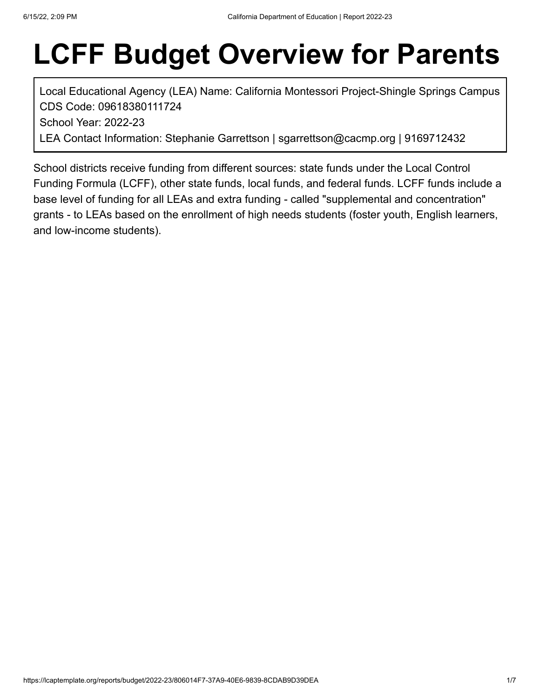# **LCFF Budget Overview for Parents**

Local Educational Agency (LEA) Name: California Montessori Project-Shingle Springs Campus CDS Code: 09618380111724 School Year: 2022-23

LEA Contact Information: Stephanie Garrettson | sgarrettson@cacmp.org | 9169712432

School districts receive funding from different sources: state funds under the Local Control Funding Formula (LCFF), other state funds, local funds, and federal funds. LCFF funds include a base level of funding for all LEAs and extra funding - called "supplemental and concentration" grants - to LEAs based on the enrollment of high needs students (foster youth, English learners, and low-income students).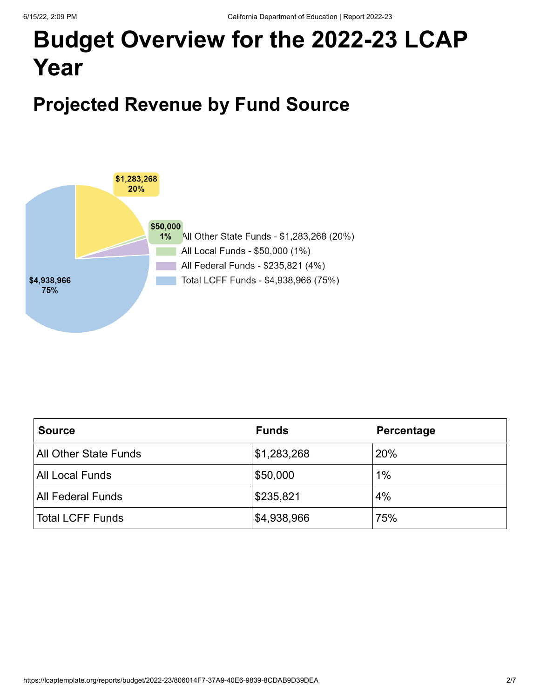## **Budget Overview for the 2022-23 LCAP Year**

### **Projected Revenue by Fund Source**



| <b>Source</b>            | <b>Funds</b> | Percentage |
|--------------------------|--------------|------------|
| All Other State Funds    | \$1,283,268  | 20%        |
| All Local Funds          | \$50,000     | $1\%$      |
| <b>All Federal Funds</b> | \$235,821    | 4%         |
| <b>Total LCFF Funds</b>  | \$4,938,966  | 75%        |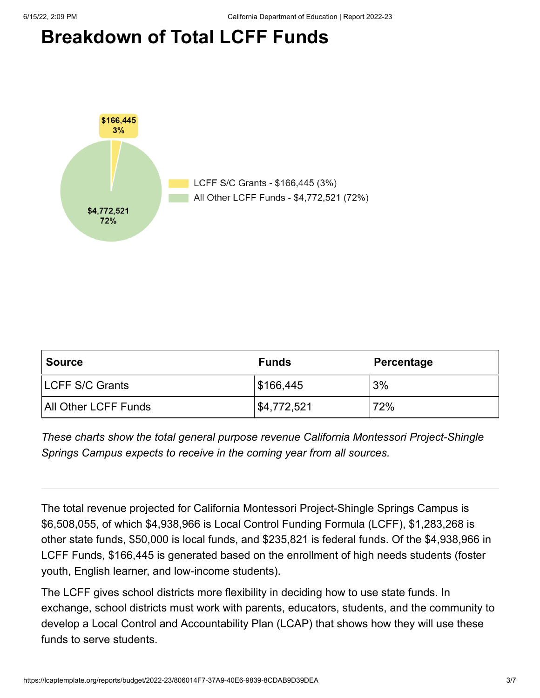### **Breakdown of Total LCFF Funds**



| <b>Source</b>           | <b>Funds</b> | Percentage |  |  |
|-------------------------|--------------|------------|--|--|
| <b>ILCFF S/C Grants</b> | \$166,445    | 3%         |  |  |
| All Other LCFF Funds    | \$4,772,521  | 72%        |  |  |

*These charts show the total general purpose revenue California Montessori Project-Shingle Springs Campus expects to receive in the coming year from all sources.*

The total revenue projected for California Montessori Project-Shingle Springs Campus is \$6,508,055, of which \$4,938,966 is Local Control Funding Formula (LCFF), \$1,283,268 is other state funds, \$50,000 is local funds, and \$235,821 is federal funds. Of the \$4,938,966 in LCFF Funds, \$166,445 is generated based on the enrollment of high needs students (foster youth, English learner, and low-income students).

The LCFF gives school districts more flexibility in deciding how to use state funds. In exchange, school districts must work with parents, educators, students, and the community to develop a Local Control and Accountability Plan (LCAP) that shows how they will use these funds to serve students.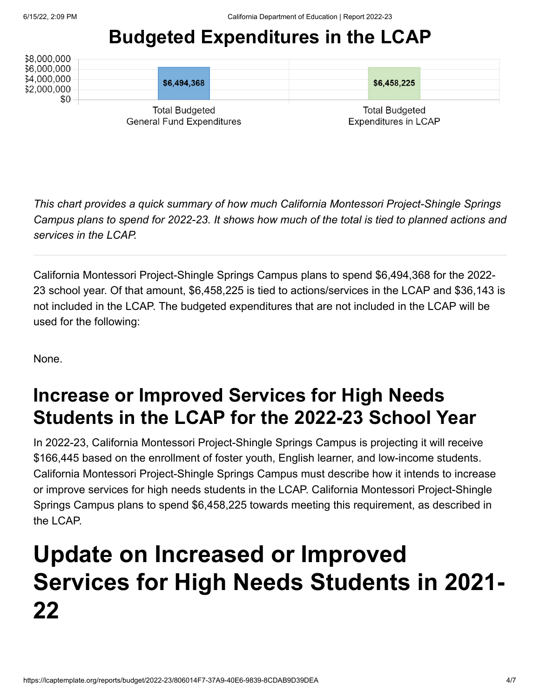### **Budgeted Expenditures in the LCAP**

| \$8,000,000<br>\$6,000,000                                |             |                                                      |  |
|-----------------------------------------------------------|-------------|------------------------------------------------------|--|
| \$4,000,000<br>\$2,000,000<br>\$0                         | \$6,494,368 | \$6,458,225                                          |  |
| <b>Total Budgeted</b><br><b>General Fund Expenditures</b> |             | <b>Total Budgeted</b><br><b>Expenditures in LCAP</b> |  |

*This chart provides a quick summary of how much California Montessori Project-Shingle Springs Campus plans to spend for 2022-23. It shows how much of the total is tied to planned actions and services in the LCAP.*

California Montessori Project-Shingle Springs Campus plans to spend \$6,494,368 for the 2022- 23 school year. Of that amount, \$6,458,225 is tied to actions/services in the LCAP and \$36,143 is not included in the LCAP. The budgeted expenditures that are not included in the LCAP will be used for the following:

None.

### **Increase or Improved Services for High Needs Students in the LCAP for the 2022-23 School Year**

In 2022-23, California Montessori Project-Shingle Springs Campus is projecting it will receive \$166,445 based on the enrollment of foster youth, English learner, and low-income students. California Montessori Project-Shingle Springs Campus must describe how it intends to increase or improve services for high needs students in the LCAP. California Montessori Project-Shingle Springs Campus plans to spend \$6,458,225 towards meeting this requirement, as described in the LCAP.

## **Update on Increased or Improved Services for High Needs Students in 2021- 22**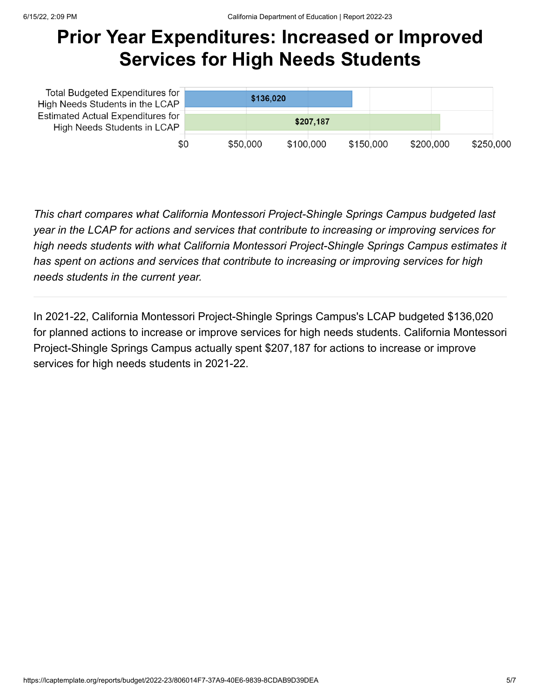### **Prior Year Expenditures: Increased or Improved Services for High Needs Students**

| <b>Total Budgeted Expenditures for</b><br>High Needs Students in the LCAP<br><b>Estimated Actual Expenditures for</b><br>High Needs Students in LCAP |          | \$136,020 |           |           |           |           |
|------------------------------------------------------------------------------------------------------------------------------------------------------|----------|-----------|-----------|-----------|-----------|-----------|
|                                                                                                                                                      |          |           | \$207.187 |           |           |           |
| \$0                                                                                                                                                  | \$50,000 | \$100,000 |           | \$150,000 | \$200,000 | \$250,000 |

*This chart compares what California Montessori Project-Shingle Springs Campus budgeted last year in the LCAP for actions and services that contribute to increasing or improving services for high needs students with what California Montessori Project-Shingle Springs Campus estimates it has spent on actions and services that contribute to increasing or improving services for high needs students in the current year.*

In 2021-22, California Montessori Project-Shingle Springs Campus's LCAP budgeted \$136,020 for planned actions to increase or improve services for high needs students. California Montessori Project-Shingle Springs Campus actually spent \$207,187 for actions to increase or improve services for high needs students in 2021-22.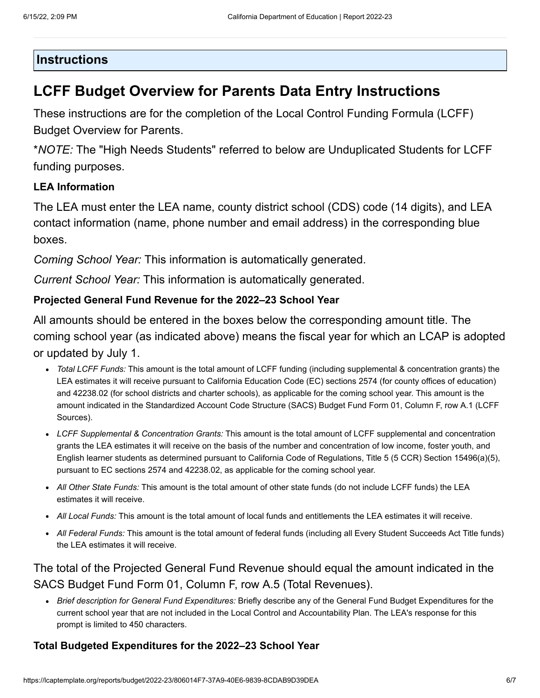#### **Instructions**

#### **LCFF Budget Overview for Parents Data Entry Instructions**

These instructions are for the completion of the Local Control Funding Formula (LCFF) Budget Overview for Parents.

\**NOTE:* The "High Needs Students" referred to below are Unduplicated Students for LCFF funding purposes.

#### **LEA Information**

The LEA must enter the LEA name, county district school (CDS) code (14 digits), and LEA contact information (name, phone number and email address) in the corresponding blue boxes.

*Coming School Year:* This information is automatically generated.

*Current School Year:* This information is automatically generated.

#### **Projected General Fund Revenue for the 2022–23 School Year**

All amounts should be entered in the boxes below the corresponding amount title. The coming school year (as indicated above) means the fiscal year for which an LCAP is adopted or updated by July 1.

- *Total LCFF Funds:* This amount is the total amount of LCFF funding (including supplemental & concentration grants) the LEA estimates it will receive pursuant to California Education Code (EC) sections 2574 (for county offices of education) and 42238.02 (for school districts and charter schools), as applicable for the coming school year. This amount is the amount indicated in the Standardized Account Code Structure (SACS) Budget Fund Form 01, Column F, row A.1 (LCFF Sources).
- *LCFF Supplemental & Concentration Grants:* This amount is the total amount of LCFF supplemental and concentration grants the LEA estimates it will receive on the basis of the number and concentration of low income, foster youth, and English learner students as determined pursuant to California Code of Regulations, Title 5 (5 CCR) Section 15496(a)(5), pursuant to EC sections 2574 and 42238.02, as applicable for the coming school year.
- *All Other State Funds:* This amount is the total amount of other state funds (do not include LCFF funds) the LEA estimates it will receive.
- *All Local Funds:* This amount is the total amount of local funds and entitlements the LEA estimates it will receive.
- *All Federal Funds:* This amount is the total amount of federal funds (including all Every Student Succeeds Act Title funds) the LEA estimates it will receive.

#### The total of the Projected General Fund Revenue should equal the amount indicated in the SACS Budget Fund Form 01, Column F, row A.5 (Total Revenues).

*Brief description for General Fund Expenditures:* Briefly describe any of the General Fund Budget Expenditures for the current school year that are not included in the Local Control and Accountability Plan. The LEA's response for this prompt is limited to 450 characters.

#### **Total Budgeted Expenditures for the 2022–23 School Year**